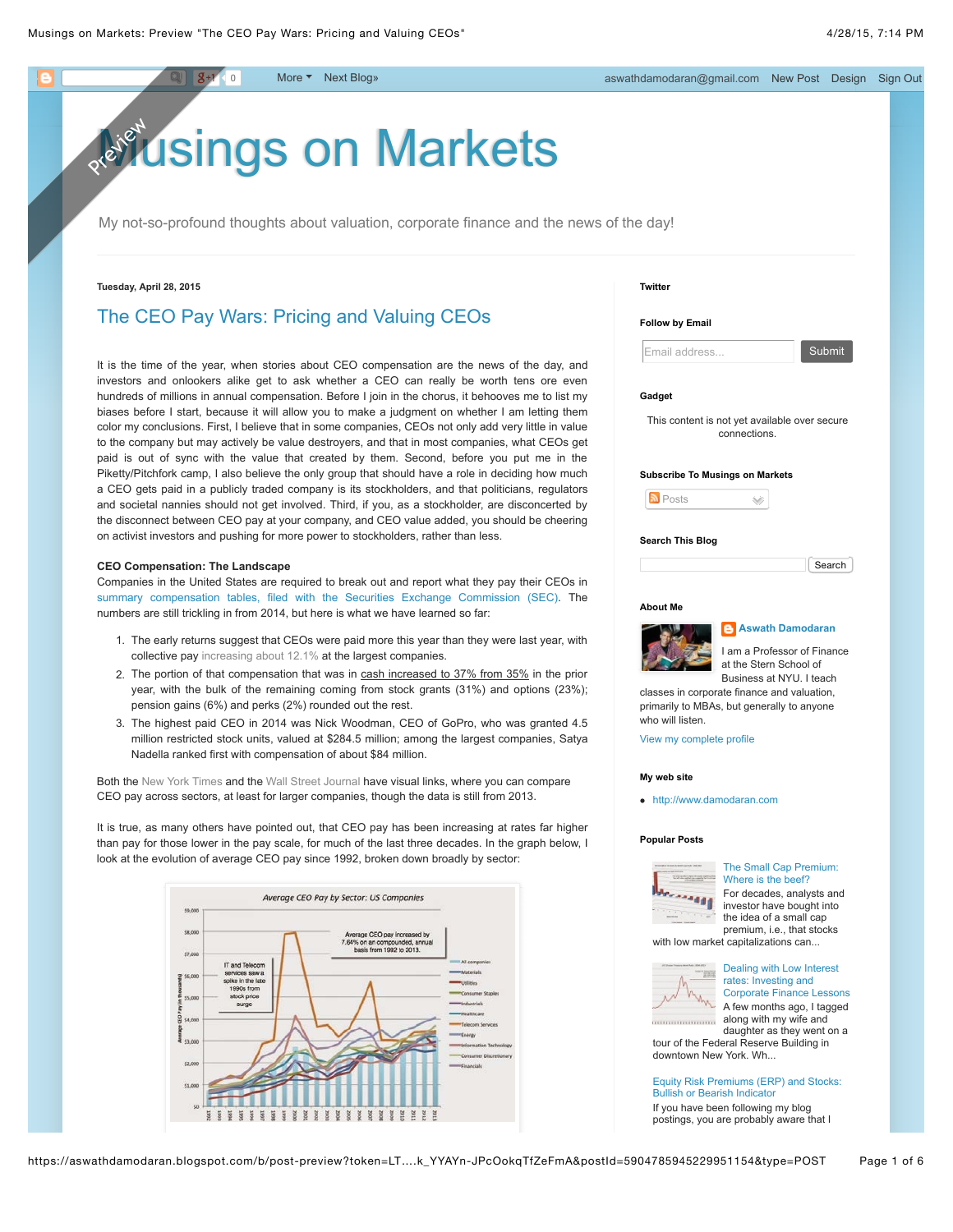# Isings on Markets Preview

My not-so-profound thoughts about valuation, corporate finance and the news of the day!

#### **Tuesday, April 28, 2015**

# [The CEO Pay Wars: Pricing and Valuing CEOs](http://aswathdamodaran.blogspot.com/2015/04/the-ceo-pay-wars-pricing-and-valuing.html)

It is the time of the year, when stories about CEO compensation are the news of the day, and investors and onlookers alike get to ask whether a CEO can really be worth tens ore even hundreds of millions in annual compensation. Before I join in the chorus, it behooves me to list my biases before I start, because it will allow you to make a judgment on whether I am letting them color my conclusions. First, I believe that in some companies, CEOs not only add very little in value to the company but may actively be value destroyers, and that in most companies, what CEOs get paid is out of sync with the value that created by them. Second, before you put me in the Piketty/Pitchfork camp, I also believe the only group that should have a role in deciding how much a CEO gets paid in a publicly traded company is its stockholders, and that politicians, regulators and societal nannies should not get involved. Third, if you, as a stockholder, are disconcerted by the disconnect between CEO pay at your company, and CEO value added, you should be cheering on activist investors and pushing for more power to stockholders, rather than less.

#### **CEO Compensation: The Landscape**

Companies in the United States are required to break out and report what they pay their CEOs in [summary compensation tables, filed with the Securities Exchange Commission \(SEC\).](http://www.sec.gov/answers/execomp.htm) The numbers are still trickling in from 2014, but here is what we have learned so far:

- 1. The early returns suggest that CEOs were paid more this year than they were last year, with collective pay [increasing about 12.1%](http://www.towerswatson.com/en/Press/2015/04/total-ceo-pay-increased-12-1-percent-in-2014) at the largest companies.
- 2. The portion of that compensation that was in cash increased to 37% from 35% in the prior year, with the bulk of the remaining coming from stock grants (31%) and options (23%); pension gains (6%) and perks (2%) rounded out the rest.
- 3. The highest paid CEO in 2014 was Nick Woodman, CEO of GoPro, who was granted 4.5 million restricted stock units, valued at \$284.5 million; among the largest companies, Satya Nadella ranked first with compensation of about \$84 million.

Both the [New York Times](http://www.nytimes.com/interactive/2014/06/08/business/the-pay-at-the-top.html) and the [Wall Street Journal](http://graphics.wsj.com/executive-salary-compensation-2014/) have visual links, where you can compare CEO pay across sectors, at least for larger companies, though the data is still from 2013.

It is true, as many others have pointed out, that CEO pay has been increasing at rates far higher than pay for those lower in the pay scale, for much of the last three decades. In the graph below, I look at the evolution of average CEO pay since 1992, broken down broadly by sector:



**Twitter**



#### **Gadget**

This content is not yet available over secure connections.

#### **Subscribe To Musings on Markets**



# **Search This Blog**

| Search |
|--------|
|        |

#### **About Me**



**[Aswath Damodaran](http://www.blogger.com/profile/12021594649672906878)**

I am a Professor of Finance at the Stern School of Business at NYU. I teach

classes in corporate finance and valuation, primarily to MBAs, but generally to anyone who will listen.

[View my complete profile](http://www.blogger.com/profile/12021594649672906878)

#### **My web site**

[http://www.damodaran.com](http://www.damodaran.com/)

#### **Popular Posts**



[The Small Cap Premium:](http://aswathdamodaran.blogspot.com/2015/04/the-small-cap-premium-fact-fiction-and.html) Where is the beef? For decades, analysts and investor have bought into the idea of a small cap premium, i.e., that stocks with low market capitalizations can...



Dealing with Low Interest rates: Investing and [Corporate Finance Lessons](http://aswathdamodaran.blogspot.com/2015/04/dealing-with-low-interest-rates.html) A few months ago, I tagged along with my wife and

daughter as they went on a tour of the Federal Reserve Building in downtown New York. Wh...

# [Equity Risk Premiums \(ERP\) and Stocks:](http://aswathdamodaran.blogspot.com/2013/05/equity-risk-premiums-erp-and-stocks.html) Bullish or Bearish Indicator

If you have been following my blog postings, you are probably aware that I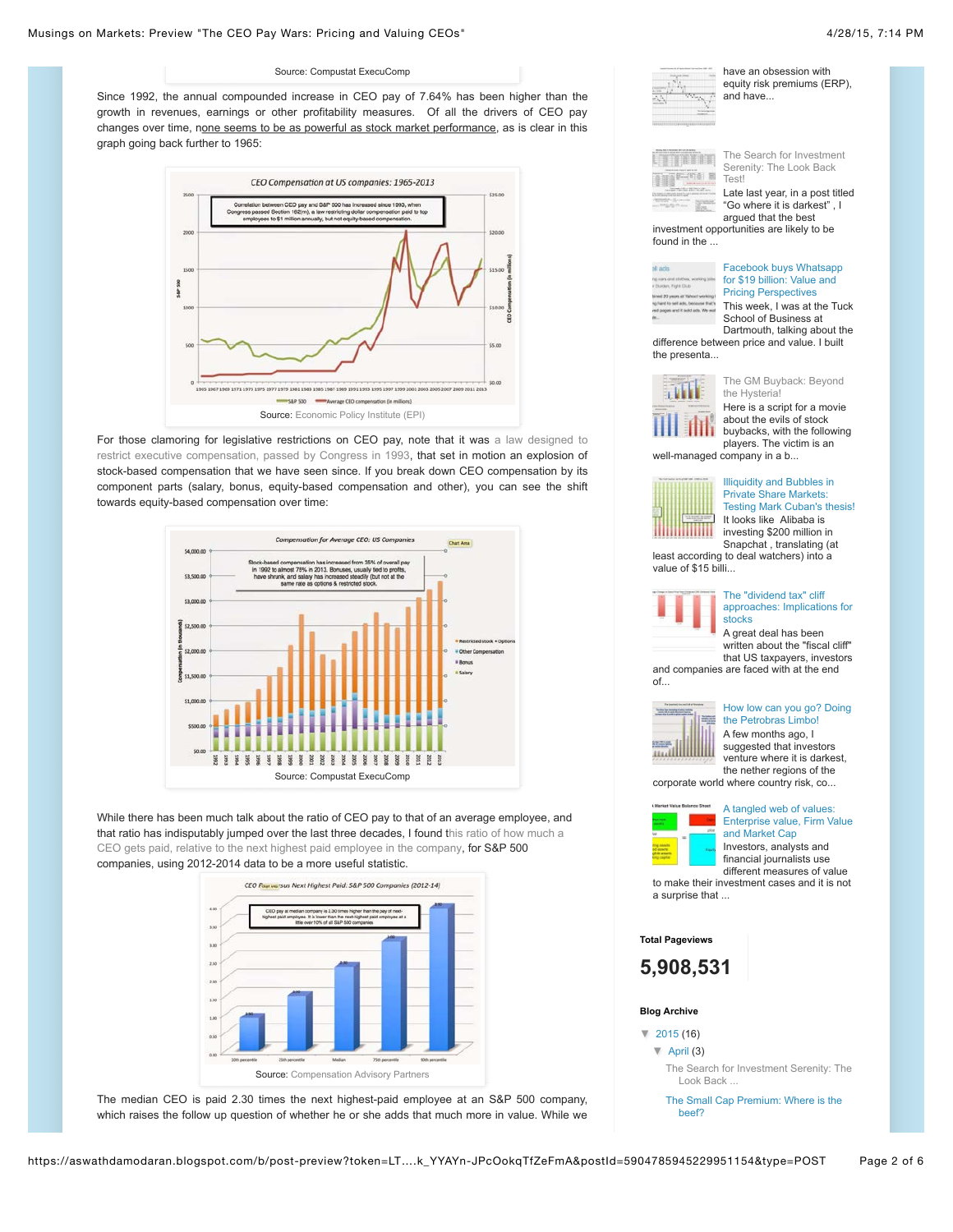#### Source: Compustat ExecuComp

Since 1992, the annual compounded increase in CEO pay of 7.64% has been higher than the growth in revenues, earnings or other profitability measures. Of all the drivers of CEO pay changes over time, none seems to be as powerful as stock market performance, as is clear in this graph going back further to 1965:



[For those clamoring for legislative restrictions on CEO pay, note that it was a law designed to](http://www.skadden.com/sites/default/files/publications/Publications2574_0.pdf) restrict executive compensation, passed by Congress in 1993, that set in motion an explosion of stock-based compensation that we have seen since. If you break down CEO compensation by its component parts (salary, bonus, equity-based compensation and other), you can see the shift towards equity-based compensation over time:



While there has been much talk about the ratio of CEO pay to that of an average employee, and [that ratio has indisputably jumped over the last three decades, I found this ratio of how much a](http://www.capartners.com/uploads/news/id216/capartners.com-capflash-issue68.pdf) CEO gets paid, relative to the next highest paid employee in the company, for S&P 500 companies, using 2012-2014 data to be a more useful statistic.



The median CEO is paid 2.30 times the next highest-paid employee at an S&P 500 company, which raises the follow up question of whether he or she adds that much more in value. While we

| have an obsession with<br>equity risk premiums (ERP).<br>and have |
|-------------------------------------------------------------------|
|                                                                   |



m E. L

> [The Search for Investment](http://aswathdamodaran.blogspot.com/2015/04/the-search-for-investment-serenity-look.html) Serenity: The Look Back

Late last year, in a post titled "Go where it is darkest" , I argued that the best investment opportunities are likely to be

found in the ...

| li actis                                                          | <b>Facebook buys Whats</b>                       |
|-------------------------------------------------------------------|--------------------------------------------------|
| Durden, Fight Dlub                                                | for \$19 billion: Value a                        |
| profeser toorish' to away DS bon                                  | <b>Pricing Perspectives</b>                      |
| Turn! In sell ads, because<br>of papers and it sold arts. We want | This week. I was at the<br>School of Business at |
|                                                                   |                                                  |

#### [Facebook buys Whatsapp](http://aswathdamodaran.blogspot.com/2014/02/facebook-buys-whatsapp-for-19-billion.html) or \$19 billion: Value and Pricing Perspectives This week, I was at the Tuck

Dartmouth, talking about the difference between price and value. I built the presenta...



Here is a script for a movie about the evils of stock buybacks, with the following players. The victim is an well-managed company in a b...



Illiquidity and Bubbles in Private Share Markets: [Testing Mark Cuban's thesis!](http://aswathdamodaran.blogspot.com/2015/03/illiquidity-and-bubbles-in-private.html) It looks like Alibaba is investing \$200 million in Snapchat , translating (at

least according to deal watchers) into a value of \$15 billi...



#### The "dividend tax" cliff [approaches: Implications for](http://aswathdamodaran.blogspot.com/2012/09/the-dividend-tax-cliff-approaches.html) stocks

A great deal has been written about the "fiscal cliff" that US taxpayers, investors and companies are faced with at the end

of...



#### [How low can you go? Doing](http://aswathdamodaran.blogspot.com/2015/02/how-low-can-you-go-doing-petrobras-limbo.html) the Petrobras Limbo!

A few months ago, I suggested that investors venture where it is darkest, the nether regions of the

A tangled web of values:

corporate world where country risk, co...



[Enterprise value, Firm Value](http://aswathdamodaran.blogspot.com/2013/06/a-tangled-web-of-values-enterprise.html) and Market Cap Investors, analysts and financial journalists use different measures of value

to make their investment cases and it is not a surprise that ...

# **Total Pageviews**

**5,908,531**

#### **Blog Archive**

- [▼](javascript:void(0)) [2015](http://aswathdamodaran.blogspot.com/search?updated-min=2015-01-01T00:00:00-08:00&updated-max=2016-01-01T00:00:00-08:00&max-results=16) (16)
	- [▼](javascript:void(0)) [April](http://aswathdamodaran.blogspot.com/2015_04_01_archive.html) (3)
		- [The Search for Investment Serenity: The](http://aswathdamodaran.blogspot.com/2015/04/the-search-for-investment-serenity-look.html) Look Back ...
	- [The Small Cap Premium: Where is the](http://aswathdamodaran.blogspot.com/2015/04/the-small-cap-premium-fact-fiction-and.html) beef?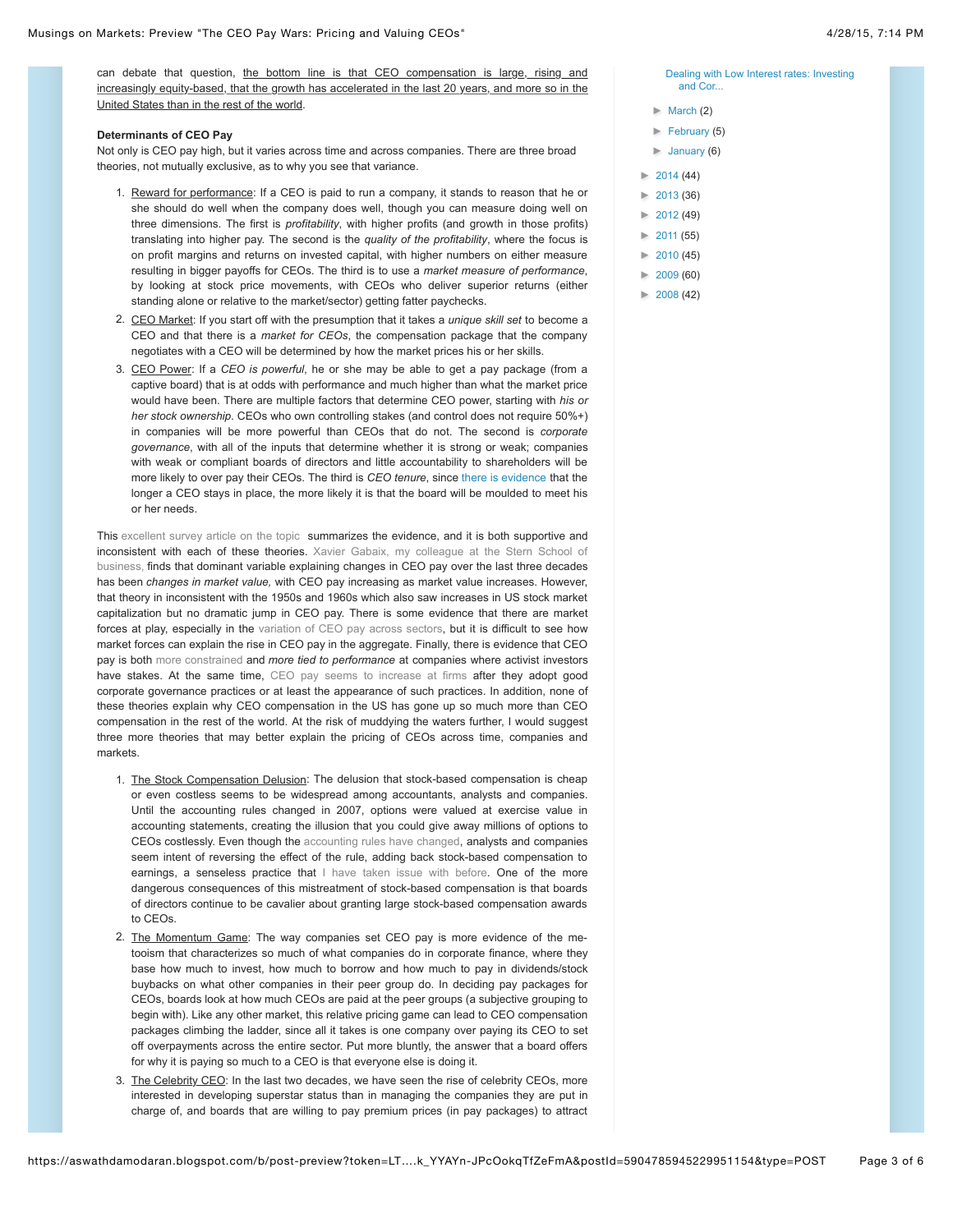### **Determinants of CEO Pay**

Not only is CEO pay high, but it varies across time and across companies. There are three broad theories, not mutually exclusive, as to why you see that variance.

- 1. Reward for performance: If a CEO is paid to run a company, it stands to reason that he or she should do well when the company does well, though you can measure doing well on three dimensions. The first is *profitability*, with higher profits (and growth in those profits) translating into higher pay. The second is the *quality of the profitability*, where the focus is on profit margins and returns on invested capital, with higher numbers on either measure resulting in bigger payoffs for CEOs. The third is to use a *market measure of performance*, by looking at stock price movements, with CEOs who deliver superior returns (either standing alone or relative to the market/sector) getting fatter paychecks.
- 2. CEO Market: If you start off with the presumption that it takes a *unique skill set* to become a CEO and that there is a *market for CEOs*, the compensation package that the company negotiates with a CEO will be determined by how the market prices his or her skills.
- 3. CEO Power: If a *CEO is powerful*, he or she may be able to get a pay package (from a captive board) that is at odds with performance and much higher than what the market price would have been. There are multiple factors that determine CEO power, starting with *his or her stock ownership*. CEOs who own controlling stakes (and control does not require 50%+) in companies will be more powerful than CEOs that do not. The second is *corporate governance*, with all of the inputs that determine whether it is strong or weak; companies with weak or compliant boards of directors and little accountability to shareholders will be more likely to over pay their CEOs. The third is *CEO tenure*, since [there is evidence](http://www.jstor.org/discover/10.2307/256413?uid=3739808&uid=2&uid=4&uid=3739256&sid=21106182503601) that the longer a CEO stays in place, the more likely it is that the board will be moulded to meet his or her needs.

This [excellent survey article on the topic](http://dspace.mit.edu/handle/1721.1/65955) summarizes the evidence, and it is both supportive and inconsistent with each of these theories. Xavier Gabaix, my colleague at the Stern School of [business, finds that dominant variable explaining changes in CEO pay over the last three decades](http://economics.mit.edu/files/1769) has been *changes in market value,* with CEO pay increasing as market value increases. However, that theory in inconsistent with the 1950s and 1960s which also saw increases in US stock market capitalization but no dramatic jump in CEO pay. There is some evidence that there are market forces at play, especially in the [variation of CEO pay across sectors,](http://papers.ssrn.com/sol3/papers.cfm?abstract_id=1108761) but it is difficult to see how market forces can explain the rise in CEO pay in the aggregate. Finally, there is evidence that CEO pay is both [more constrained a](http://papers.ssrn.com/sol3/papers.cfm?abstract_id=1443455)nd *more tied to performance* at companies where activist investors have stakes. At the same time, [CEO pay seems to increase at firms](http://www.esr.ie/article/view/36) after they adopt good corporate governance practices or at least the appearance of such practices. In addition, none of these theories explain why CEO compensation in the US has gone up so much more than CEO compensation in the rest of the world. At the risk of muddying the waters further, I would suggest three more theories that may better explain the pricing of CEOs across time, companies and markets.

- 1. The Stock Compensation Delusion: The delusion that stock-based compensation is cheap or even costless seems to be widespread among accountants, analysts and companies. Until the accounting rules changed in 2007, options were valued at exercise value in accounting statements, creating the illusion that you could give away millions of options to CEOs costlessly. Even though the [accounting rules have changed,](http://www.fasb.org/summary/stsum123r.shtml) analysts and companies seem intent of reversing the effect of the rule, adding back stock-based compensation to earnings, a senseless practice that [I have taken issue with before](http://aswathdamodaran.blogspot.com/2014/02/stock-based-employee-compensation-value.html). One of the more dangerous consequences of this mistreatment of stock-based compensation is that boards of directors continue to be cavalier about granting large stock-based compensation awards to CEOs.
- 2. The Momentum Game: The way companies set CEO pay is more evidence of the metooism that characterizes so much of what companies do in corporate finance, where they base how much to invest, how much to borrow and how much to pay in dividends/stock buybacks on what other companies in their peer group do. In deciding pay packages for CEOs, boards look at how much CEOs are paid at the peer groups (a subjective grouping to begin with). Like any other market, this relative pricing game can lead to CEO compensation packages climbing the ladder, since all it takes is one company over paying its CEO to set off overpayments across the entire sector. Put more bluntly, the answer that a board offers for why it is paying so much to a CEO is that everyone else is doing it.
- 3. The Celebrity CEO: In the last two decades, we have seen the rise of celebrity CEOs, more interested in developing superstar status than in managing the companies they are put in charge of, and boards that are willing to pay premium prices (in pay packages) to attract

[Dealing with Low Interest rates: Investing](http://aswathdamodaran.blogspot.com/2015/04/dealing-with-low-interest-rates.html) and Cor...

- [►](javascript:void(0)) [March](http://aswathdamodaran.blogspot.com/2015_03_01_archive.html) (2)
- [►](javascript:void(0)) [February](http://aswathdamodaran.blogspot.com/2015_02_01_archive.html) (5)
- [►](javascript:void(0)) [January](http://aswathdamodaran.blogspot.com/2015_01_01_archive.html) (6)
- $\blacktriangleright$  [2014](http://aswathdamodaran.blogspot.com/search?updated-min=2014-01-01T00:00:00-08:00&updated-max=2015-01-01T00:00:00-08:00&max-results=44) (44)
- [►](javascript:void(0)) [2013](http://aswathdamodaran.blogspot.com/search?updated-min=2013-01-01T00:00:00-08:00&updated-max=2014-01-01T00:00:00-08:00&max-results=36) (36)
- $2012(49)$  $2012(49)$
- [►](javascript:void(0)) [2011](http://aswathdamodaran.blogspot.com/search?updated-min=2011-01-01T00:00:00-08:00&updated-max=2012-01-01T00:00:00-08:00&max-results=50) (55)
- $\blacktriangleright$  [2010](http://aswathdamodaran.blogspot.com/search?updated-min=2010-01-01T00:00:00-08:00&updated-max=2011-01-01T00:00:00-08:00&max-results=45) (45)
- [►](javascript:void(0)) [2009](http://aswathdamodaran.blogspot.com/search?updated-min=2009-01-01T00:00:00-08:00&updated-max=2010-01-01T00:00:00-08:00&max-results=50) (60)
- [►](javascript:void(0)) [2008](http://aswathdamodaran.blogspot.com/search?updated-min=2008-01-01T00:00:00-08:00&updated-max=2009-01-01T00:00:00-08:00&max-results=42) (42)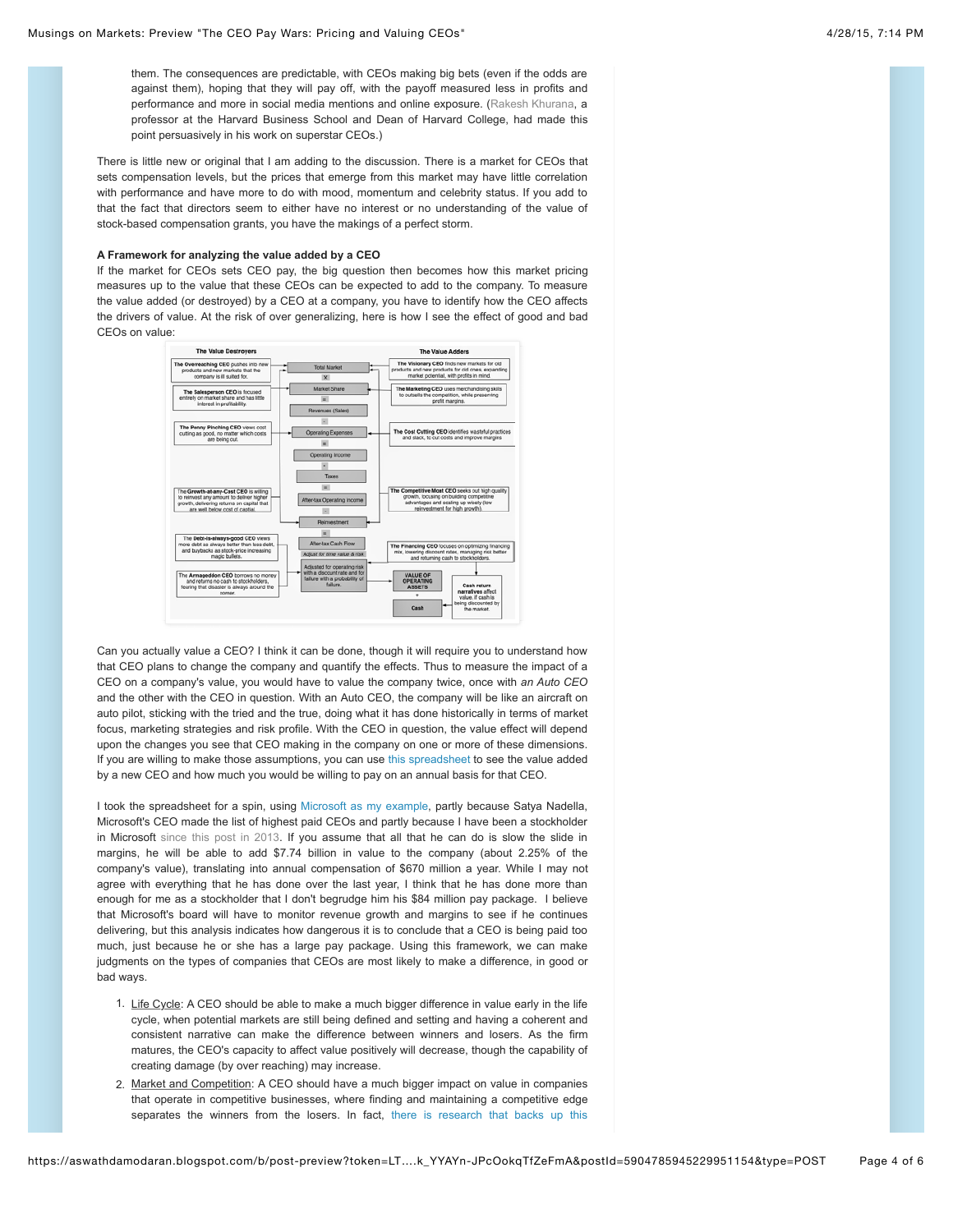them. The consequences are predictable, with CEOs making big bets (even if the odds are against them), hoping that they will pay off, with the payoff measured less in profits and performance and more in social media mentions and online exposure. [\(Rakesh Khurana,](http://www.hbs.edu/faculty/Pages/profile.aspx?facId=6921) a professor at the Harvard Business School and Dean of Harvard College, had made this point persuasively in his work on superstar CEOs.)

There is little new or original that I am adding to the discussion. There is a market for CEOs that sets compensation levels, but the prices that emerge from this market may have little correlation with performance and have more to do with mood, momentum and celebrity status. If you add to that the fact that directors seem to either have no interest or no understanding of the value of stock-based compensation grants, you have the makings of a perfect storm.

# **A Framework for analyzing the value added by a CEO**

If the market for CEOs sets CEO pay, the big question then becomes how this market pricing measures up to the value that these CEOs can be expected to add to the company. To measure the value added (or destroyed) by a CEO at a company, you have to identify how the CEO affects the drivers of value. At the risk of over generalizing, here is how I see the effect of good and bad CEOs on value:



Can you actually value a CEO? I think it can be done, though it will require you to understand how that CEO plans to change the company and quantify the effects. Thus to measure the impact of a CEO on a company's value, you would have to value the company twice, once with *an Auto CEO* and the other with the CEO in question. With an Auto CEO, the company will be like an aircraft on auto pilot, sticking with the tried and the true, doing what it has done historically in terms of market focus, marketing strategies and risk profile. With the CEO in question, the value effect will depend upon the changes you see that CEO making in the company on one or more of these dimensions. If you are willing to make those assumptions, you can use [this spreadsheet t](http://www.stern.nyu.edu/~adamodar/pc/blog/ValueofCEO2015.xls)o see the value added by a new CEO and how much you would be willing to pay on an annual basis for that CEO.

I took the spreadsheet for a spin, using [Microsoft as my example,](http://www.stern.nyu.edu/~adamodar/pc/blog/MSFTCEOvalue.xls) partly because Satya Nadella, Microsoft's CEO made the list of highest paid CEOs and partly because I have been a stockholder in Microsoft [since this post in 2013.](http://aswathdamodaran.blogspot.com/2013/09/decline-and-denial-requiem-for.html) If you assume that all that he can do is slow the slide in margins, he will be able to add \$7.74 billion in value to the company (about 2.25% of the company's value), translating into annual compensation of \$670 million a year. While I may not agree with everything that he has done over the last year, I think that he has done more than enough for me as a stockholder that I don't begrudge him his \$84 million pay package. I believe that Microsoft's board will have to monitor revenue growth and margins to see if he continues delivering, but this analysis indicates how dangerous it is to conclude that a CEO is being paid too much, just because he or she has a large pay package. Using this framework, we can make judgments on the types of companies that CEOs are most likely to make a difference, in good or bad ways.

- 1. Life Cycle: A CEO should be able to make a much bigger difference in value early in the life cycle, when potential markets are still being defined and setting and having a coherent and consistent narrative can make the difference between winners and losers. As the firm matures, the CEO's capacity to affect value positively will decrease, though the capability of creating damage (by over reaching) may increase.
- 2. Market and Competition: A CEO should have a much bigger impact on value in companies that operate in competitive businesses, where finding and maintaining a competitive edge [separates the winners from the losers. In fact, there is research that backs up this](http://papers.ssrn.com/sol3/papers.cfm?abstract_id=2187062)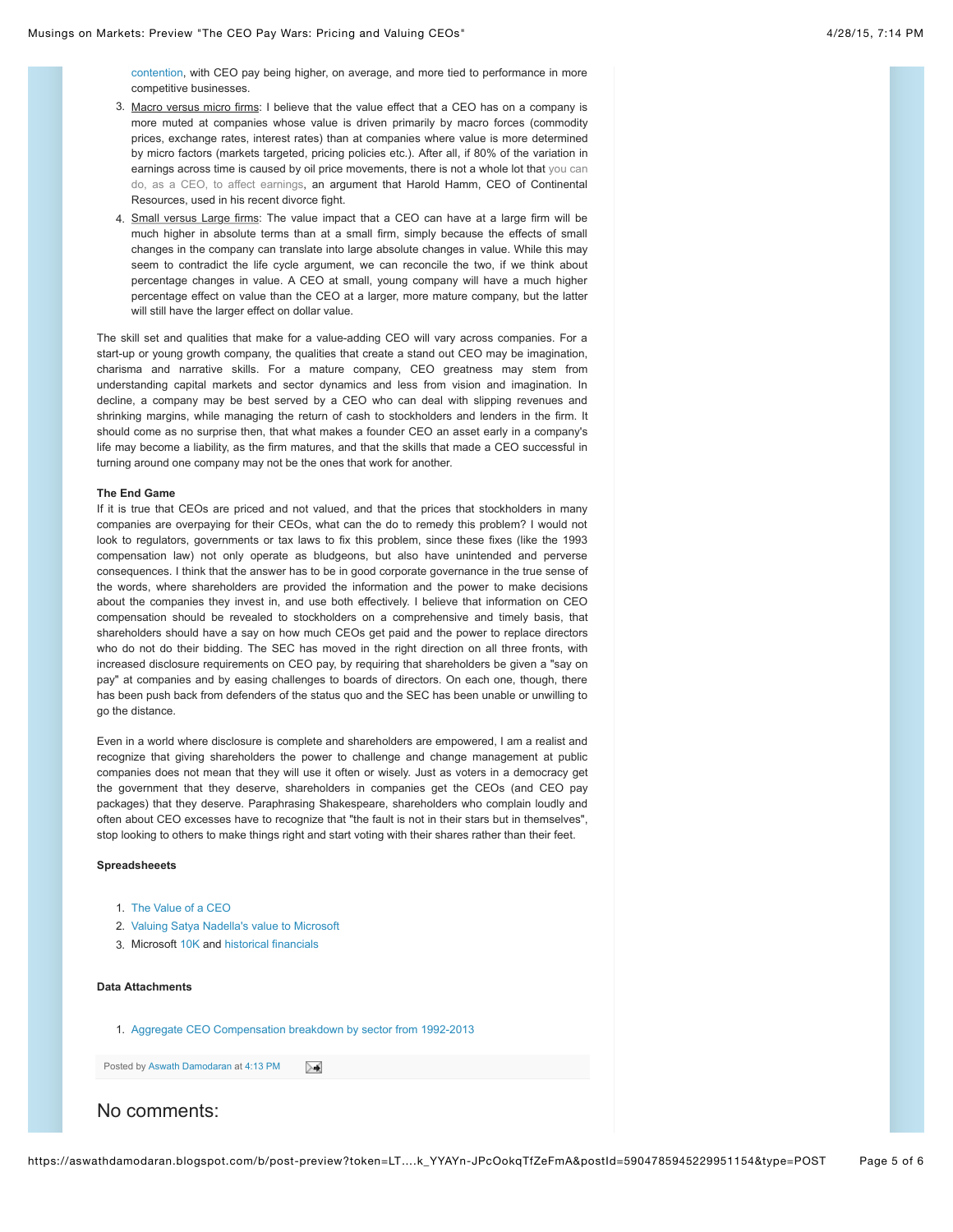[contention, with CEO pay being higher, on average, and more tied to performance in more](http://papers.ssrn.com/sol3/papers.cfm?abstract_id=2187062) competitive businesses.

- 3. Macro versus micro firms: I believe that the value effect that a CEO has on a company is more muted at companies whose value is driven primarily by macro forces (commodity prices, exchange rates, interest rates) than at companies where value is more determined by micro factors (markets targeted, pricing policies etc.). After all, if 80% of the variation in [earnings across time is caused by oil price movements, there is not a whole lot that you can](http://www.businessinsider.com/r-the-1-billion-divorce-why-harold-hamms-ex-wife-didnt-win-more-2014-11) do, as a CEO, to affect earnings, an argument that Harold Hamm, CEO of Continental Resources, used in his recent divorce fight.
- 4. Small versus Large firms: The value impact that a CEO can have at a large firm will be much higher in absolute terms than at a small firm, simply because the effects of small changes in the company can translate into large absolute changes in value. While this may seem to contradict the life cycle argument, we can reconcile the two, if we think about percentage changes in value. A CEO at small, young company will have a much higher percentage effect on value than the CEO at a larger, more mature company, but the latter will still have the larger effect on dollar value.

The skill set and qualities that make for a value-adding CEO will vary across companies. For a start-up or young growth company, the qualities that create a stand out CEO may be imagination, charisma and narrative skills. For a mature company, CEO greatness may stem from understanding capital markets and sector dynamics and less from vision and imagination. In decline, a company may be best served by a CEO who can deal with slipping revenues and shrinking margins, while managing the return of cash to stockholders and lenders in the firm. It should come as no surprise then, that what makes a founder CEO an asset early in a company's life may become a liability, as the firm matures, and that the skills that made a CEO successful in turning around one company may not be the ones that work for another.

### **The End Game**

If it is true that CEOs are priced and not valued, and that the prices that stockholders in many companies are overpaying for their CEOs, what can the do to remedy this problem? I would not look to regulators, governments or tax laws to fix this problem, since these fixes (like the 1993 compensation law) not only operate as bludgeons, but also have unintended and perverse consequences. I think that the answer has to be in good corporate governance in the true sense of the words, where shareholders are provided the information and the power to make decisions about the companies they invest in, and use both effectively. I believe that information on CEO compensation should be revealed to stockholders on a comprehensive and timely basis, that shareholders should have a say on how much CEOs get paid and the power to replace directors who do not do their bidding. The SEC has moved in the right direction on all three fronts, with increased disclosure requirements on CEO pay, by requiring that shareholders be given a "say on pay" at companies and by easing challenges to boards of directors. On each one, though, there has been push back from defenders of the status quo and the SEC has been unable or unwilling to go the distance.

Even in a world where disclosure is complete and shareholders are empowered, I am a realist and recognize that giving shareholders the power to challenge and change management at public companies does not mean that they will use it often or wisely. Just as voters in a democracy get the government that they deserve, shareholders in companies get the CEOs (and CEO pay packages) that they deserve. Paraphrasing Shakespeare, shareholders who complain loudly and often about CEO excesses have to recognize that "the fault is not in their stars but in themselves", stop looking to others to make things right and start voting with their shares rather than their feet.

#### **Spreadsheeets**

- 1. [The Value of a CEO](http://www.stern.nyu.edu/~adamodar/pc/ValueofCEO2015.xls)
- 2. [Valuing Satya Nadella's value to Microsoft](http://www.stern.nyu.edu/~adamodar/pc/blog/MSFTCEOvalue.xls)
- 3. Microsoft [10K](http://www.stern.nyu.edu/~adamodar/pc/blog/MSFT10K.docx) and [historical financials](http://www.stern.nyu.edu/~adamodar/pc/blog/MSFThistorical.xls)

# **Data Attachments**

1. [Aggregate CEO Compensation breakdown by sector from 1992-2013](http://www.stern.nyu.edu/~adamodar/pc/blog/CEOPaybySector.xls)

Posted by [Aswath Damodaran](http://www.blogger.com/profile/12021594649672906878) at [4:13 PM](http://aswathdamodaran.blogspot.com/2015/04/the-ceo-pay-wars-pricing-and-valuing.html) ≻≼

# No comments: